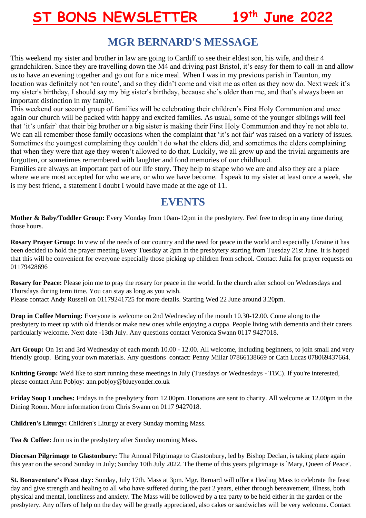#### **ST BONS NEWSLETTER 19 th June 2022**

### **MGR BERNARD'S MESSAGE**

This weekend my sister and brother in law are going to Cardiff to see their eldest son, his wife, and their 4 grandchildren. Since they are travelling down the M4 and driving past Bristol, it's easy for them to call-in and allow us to have an evening together and go out for a nice meal. When I was in my previous parish in Taunton, my location was definitely not 'en route', and so they didn't come and visit me as often as they now do. Next week it's my sister's birthday, I should say my big sister's birthday, because she's older than me, and that's always been an important distinction in my family.

This weekend our second group of families will be celebrating their children's First Holy Communion and once again our church will be packed with happy and excited families. As usual, some of the younger siblings will feel that 'it's unfair' that their big brother or a big sister is making their First Holy Communion and they're not able to. We can all remember those family occasions when the complaint that 'it's not fair' was raised on a variety of issues. Sometimes the youngest complaining they couldn't do what the elders did, and sometimes the elders complaining that when they were that age they weren't allowed to do that. Luckily, we all grow up and the trivial arguments are forgotten, or sometimes remembered with laughter and fond memories of our childhood.

Families are always an important part of our life story. They help to shape who we are and also they are a place where we are most accepted for who we are, or who we have become. I speak to my sister at least once a week, she is my best friend, a statement I doubt I would have made at the age of 11.

### **EVENTS**

**Mother & Baby/Toddler Group:** Every Monday from 10am-12pm in the presbytery. Feel free to drop in any time during those hours.

**Rosary Prayer Group:** In view of the needs of our country and the need for peace in the world and especially Ukraine it has been decided to hold the prayer meeting Every Tuesday at 2pm in the presbytery starting from Tuesday 21st June. It is hoped that this will be convenient for everyone especially those picking up children from school. Contact Julia for prayer requests on 01179428696

**Rosary for Peace:** Please join me to pray the rosary for peace in the world. In the church after school on Wednesdays and Thursdays during term time. You can stay as long as you wish.

Please contact Andy Russell on 01179241725 for more details. Starting Wed 22 June around 3.20pm.

**Drop in Coffee Morning:** Everyone is welcome on 2nd Wednesday of the month 10.30-12.00. Come along to the presbytery to meet up with old friends or make new ones while enjoying a cuppa. People living with dementia and their carers particularly welcome. Next date -13th July. Any questions contact Veronica Swann 0117 9427018.

**Art Group:** On 1st and 3rd Wednesday of each month 10.00 - 12.00. All welcome, including beginners, to join small and very friendly group. Bring your own materials. Any questions contact: Penny Millar 07866138669 or Cath Lucas 078069437664.

**Knitting Group:** We'd like to start running these meetings in July (Tuesdays or Wednesdays - TBC). If you're interested, please contact Ann Pobjoy: ann.pobjoy@blueyonder.co.uk

**Friday Soup Lunches:** Fridays in the presbytery from 12.00pm. Donations are sent to charity. All welcome at 12.00pm in the Dining Room. More information from Chris Swann on 0117 9427018.

**Children's Liturgy:** Children's Liturgy at every Sunday morning Mass.

**Tea & Coffee:** Join us in the presbytery after Sunday morning Mass.

**Diocesan Pilgrimage to Glastonbury:** The Annual Pilgrimage to Glastonbury, led by Bishop Declan, is taking place again this year on the second Sunday in July; Sunday 10th July 2022. The theme of this years pilgrimage is `Mary, Queen of Peace'.

**St. Bonaventure's Feast day:** Sunday, July 17th. Mass at 3pm. Mgr. Bernard will offer a Healing Mass to celebrate the feast day and give strength and healing to all who have suffered during the past 2 years, either through bereavement, illness, both physical and mental, loneliness and anxiety. The Mass will be followed by a tea party to be held either in the garden or the presbytery. Any offers of help on the day will be greatly appreciated, also cakes or sandwiches will be very welcome. Contact